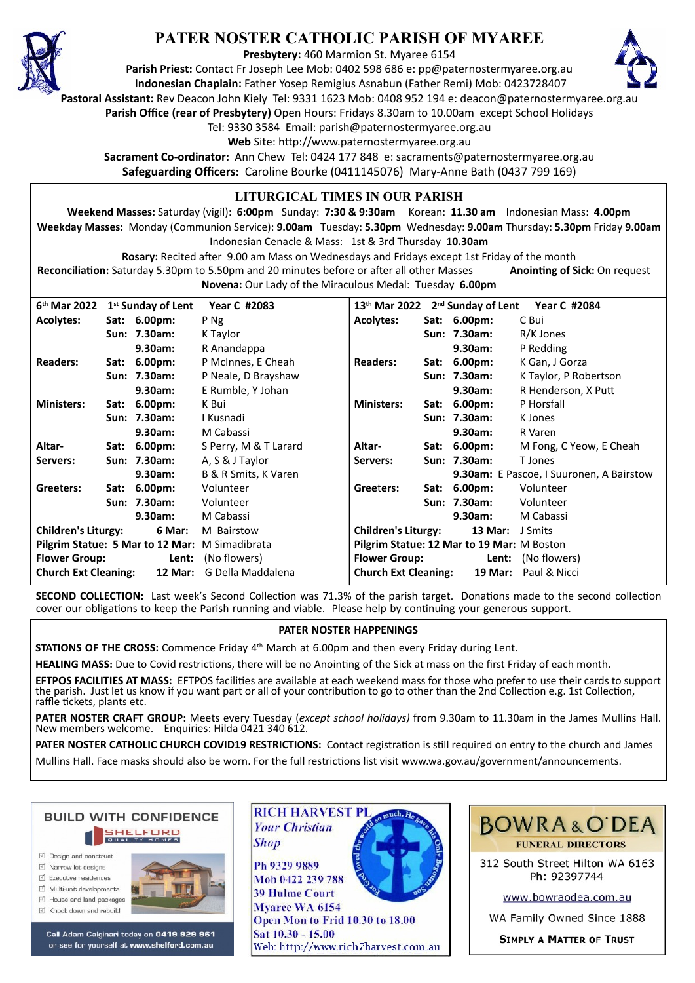

# **PATER NOSTER CATHOLIC PARISH OF MYAREE**

**Presbytery:** 460 Marmion St. Myaree 6154

**Parish Priest:** Contact Fr Joseph Lee Mob: 0402 598 686 e: pp@paternostermyaree.org.au **Indonesian Chaplain:** Father Yosep Remigius Asnabun (Father Remi) Mob: 0423728407



**Pastoral Assistant:** Rev Deacon John Kiely Tel: 9331 1623 Mob: 0408 952 194 e: deacon@paternostermyaree.org.au

**Parish Office (rear of Presbytery)** Open Hours: Fridays 8.30am to 10.00am except School Holidays

Tel: 9330 3584 Email: parish@paternostermyaree.org.au

Web Site: http://www.paternostermyaree.org.au

**Sacrament Co-ordinator:** Ann Chew Tel: 0424 177 848 e: sacraments@paternostermyaree.org.au **Safeguarding Officers:** Caroline Bourke (0411145076) Mary-Anne Bath (0437 799 169)

#### **LITURGICAL TIMES IN OUR PARISH**

**Weekend Masses:** Saturday (vigil): **6:00pm** Sunday: **7:30 & 9:30am** Korean: **11.30 am** Indonesian Mass: **4.00pm Weekday Masses:** Monday (Communion Service): **9.00am** Tuesday: **5.30pm** Wednesday: **9.00am** Thursday: **5.30pm** Friday **9.00am** Indonesian Cenacle & Mass: 1st & 3rd Thursday **10.30am**

**Rosary:** Recited a�er 9.00 am Mass on Wednesdays and Fridays except 1st Friday of the month Reconciliation: Saturday 5.30pm to 5.50pm and 20 minutes before or after all other Masses **Anointing of Sick:** On request **Novena:** Our Lady of the Miraculous Medal: Tuesday **6.00pm**

**6 th Mar 2022 1st Sunday of Lent Year C #2083 Acolytes: Sat: 6.00pm:** P Ng **Sun: 7.30am:** K Taylor **9.30am:** R Anandappa **Readers: Sat: 6.00pm:** P McInnes, E Cheah **Sun: 7.30am:** P Neale, D Brayshaw **9.30am:** E Rumble, Y Johan **Ministers: Sat: 6.00pm:** K Bui **Sun: 7.30am:** I Kusnadi **9.30am:** M Cabassi **Altar- Sat: 6.00pm:** S Perry, M & T Larard **Servers: Sun: 7.30am:** A, S & J Taylor **9.30am:** B & R Smits, K Varen **Gree**t**ers: Sat: 6.00pm:** Volunteer **Sun: 7.30am:** Volunteer **9.30am:** M Cabassi **Children's Liturgy: 6 Mar:** M Bairstow **Pilgrim Statue: 5 Mar to 12 Mar:** M Simadibrata **Flower Group: Lent:** (No flowers) **Church Ext Cleaning: 12 Mar:** G Della Maddalena **13th Mar 2022 2nd Sunday of Lent Year C #2084 Acolytes: Sat: 6.00pm:** C Bui **Sun: 7.30am:** R/K Jones **9.30am:** P Redding **Readers: Sat: 6.00pm:** K Gan, J Gorza **Sun: 7.30am:** K Taylor, P Robertson **9.30am:** R Henderson, X Pu� **Ministers: Sat: 6.00pm:** P Horsfall **Sun: 7.30am:** K Jones **9.30am:** R Varen **Altar- Sat: 6.00pm:** M Fong, C Yeow, E Cheah **Servers: Sun: 7.30am:** T Jones **9.30am:** E Pascoe, I Suuronen, A Bairstow **Gree**t**ers: Sat: 6.00pm:** Volunteer **Sun: 7.30am:** Volunteer **9.30am:** M Cabassi **Children's Liturgy: 13 Mar:** J Smits **Pilgrim Statue: 12 Mar to 19 Mar:** M Boston **Flower Group: Lent:** (No flowers) **Church Ext Cleaning: 19 Mar:** Paul & Nicci

**SECOND COLLECTION:** Last week's Second Collection was 71.3% of the parish target. Donations made to the second collection cover our obligations to keep the Parish running and viable. Please help by continuing your generous support.

#### **PATER NOSTER HAPPENINGS**

**STATIONS OF THE CROSS:** Commence Friday 4<sup>th</sup> March at 6.00pm and then every Friday during Lent.

HEALING MASS: Due to Covid restrictions, there will be no Anointing of the Sick at mass on the first Friday of each month.

**EFTPOS FACILITIES AT MASS:** EFTPOS facili�es are available at each weekend mass for those who prefer to use their cards to support the parish. Just let us know if you want part or all of your contribution to go to other than the 2nd Collection e.g. 1st Collection, raffle tickets, plants etc.

**PATER NOSTER CRAFT GROUP:** Meets every Tuesday (*except school holidays)* from 9.30am to 11.30am in the James Mullins Hall. New members welcome. Enquiries: Hilda 0421 340 612.

PATER NOSTER CATHOLIC CHURCH COVID19 RESTRICTIONS: Contact registration is still required on entry to the church and James Mullins Hall. Face masks should also be worn. For the full restrictions list visit www.wa.gov.au/government/announcements.



- $\triangledown$  Narrow lot designe
- $\triangledown$  Executive residences
- $\overrightarrow{2}$  Multi-unit developments
- M House and land packages
- ☑ Knock down and rebuild



Call Adam Calginari today on 0419 929 961 or see for yourself at www.shelford.com.au



Ph 9329 9889 Mob 0422 239 788 **39 Hulme Court** Myaree WA 6154 Open Mon to Frid 10.30 to 18.00 Sat 10.30 - 15.00 Web: http://www.rich7harvest.com.au



312 South Street Hilton WA 6163 Ph: 92397744

www.bowraodea.com.au

WA Family Owned Since 1888

**SIMPLY A MATTER OF TRUST**